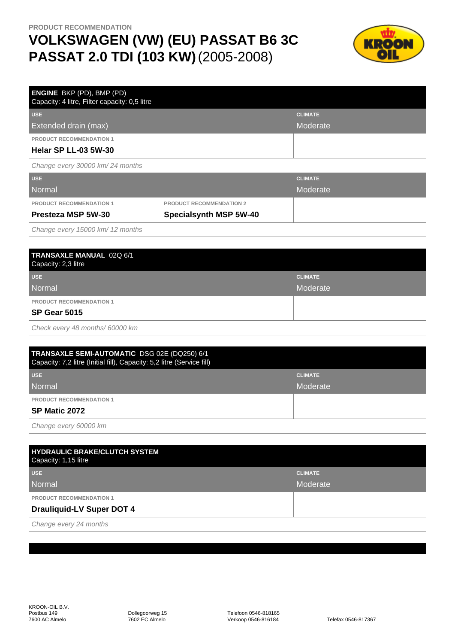## **VOLKSWAGEN (VW) (EU) PASSAT B6 3C PASSAT 2.0 TDI (103 KW)**(2005-2008)



| <b>ENGINE</b> BKP (PD), BMP (PD)<br>Capacity: 4 litre, Filter capacity: 0,5 litre |                                 |                |
|-----------------------------------------------------------------------------------|---------------------------------|----------------|
| <b>USE</b>                                                                        |                                 | <b>CLIMATE</b> |
| Extended drain (max)                                                              |                                 | Moderate       |
| <b>PRODUCT RECOMMENDATION 1</b>                                                   |                                 |                |
| <b>Helar SP LL-03 5W-30</b>                                                       |                                 |                |
| Change every 30000 km/24 months                                                   |                                 |                |
| <b>USE</b>                                                                        |                                 | <b>CLIMATE</b> |
| Normal                                                                            |                                 | Moderate       |
| PRODUCT RECOMMENDATION 1                                                          | <b>PRODUCT RECOMMENDATION 2</b> |                |

Change every 15000 km/ 12 months

| TRANSAXLE MANUAL 02Q 6/1<br>Capacity: 2,3 litre |  |                |
|-------------------------------------------------|--|----------------|
| <b>USE</b>                                      |  | <b>CLIMATE</b> |
| Normal                                          |  | Moderate       |
| <b>PRODUCT RECOMMENDATION 1</b>                 |  |                |
| <b>SP Gear 5015</b>                             |  |                |
|                                                 |  |                |

Check every 48 months/ 60000 km

| TRANSAXLE SEMI-AUTOMATIC DSG 02E (DQ250) 6/1<br>Capacity: 7,2 litre (Initial fill), Capacity: 5,2 litre (Service fill) |  |                |  |
|------------------------------------------------------------------------------------------------------------------------|--|----------------|--|
| <b>USE</b>                                                                                                             |  | <b>CLIMATE</b> |  |
| Normal                                                                                                                 |  | Moderate       |  |
| <b>PRODUCT RECOMMENDATION 1</b>                                                                                        |  |                |  |
| SP Matic 2072                                                                                                          |  |                |  |
| $O_{\text{beam}}$ and $O_{\text{m}}$                                                                                   |  |                |  |

Change every 60000 km

| <b>HYDRAULIC BRAKE/CLUTCH SYSTEM</b><br>Capacity: 1,15 litre |                |
|--------------------------------------------------------------|----------------|
| <b>USE</b>                                                   | <b>CLIMATE</b> |
| Normal                                                       | Moderate       |
| <b>PRODUCT RECOMMENDATION 1</b>                              |                |
| <b>Drauliquid-LV Super DOT 4</b>                             |                |
| $\sim$ $\sim$                                                |                |

Change every 24 months